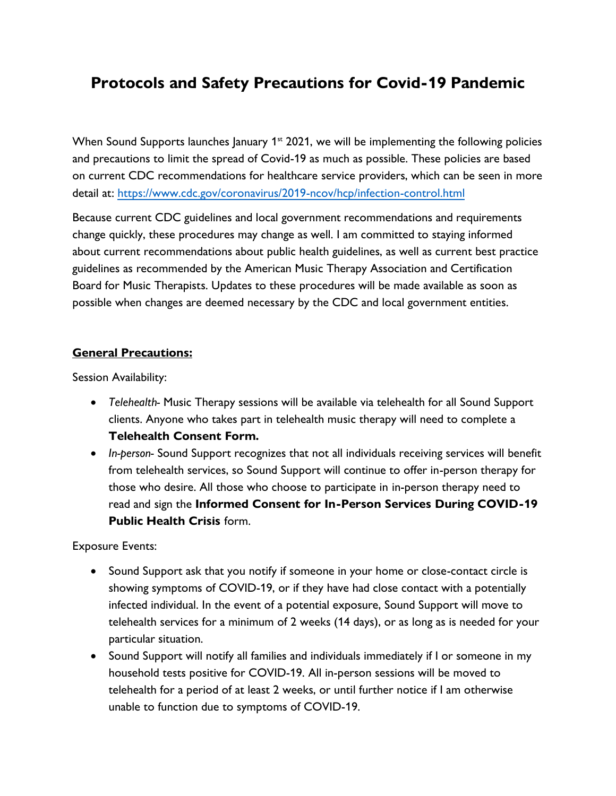# **Protocols and Safety Precautions for Covid-19 Pandemic**

When Sound Supports launches January  $1<sup>st</sup>$  2021, we will be implementing the following policies and precautions to limit the spread of Covid-19 as much as possible. These policies are based on current CDC recommendations for healthcare service providers, which can be seen in more detail at:<https://www.cdc.gov/coronavirus/2019-ncov/hcp/infection-control.html>

Because current CDC guidelines and local government recommendations and requirements change quickly, these procedures may change as well. I am committed to staying informed about current recommendations about public health guidelines, as well as current best practice guidelines as recommended by the American Music Therapy Association and Certification Board for Music Therapists. Updates to these procedures will be made available as soon as possible when changes are deemed necessary by the CDC and local government entities.

### **General Precautions:**

Session Availability:

- *Telehealth-* Music Therapy sessions will be available via telehealth for all Sound Support clients. Anyone who takes part in telehealth music therapy will need to complete a **Telehealth Consent Form.**
- *In-person-* Sound Support recognizes that not all individuals receiving services will benefit from telehealth services, so Sound Support will continue to offer in-person therapy for those who desire. All those who choose to participate in in-person therapy need to read and sign the **Informed Consent for In-Person Services During COVID-19 Public Health Crisis** form.

Exposure Events:

- Sound Support ask that you notify if someone in your home or close-contact circle is showing symptoms of COVID-19, or if they have had close contact with a potentially infected individual. In the event of a potential exposure, Sound Support will move to telehealth services for a minimum of 2 weeks (14 days), or as long as is needed for your particular situation.
- Sound Support will notify all families and individuals immediately if I or someone in my household tests positive for COVID-19. All in-person sessions will be moved to telehealth for a period of at least 2 weeks, or until further notice if I am otherwise unable to function due to symptoms of COVID-19.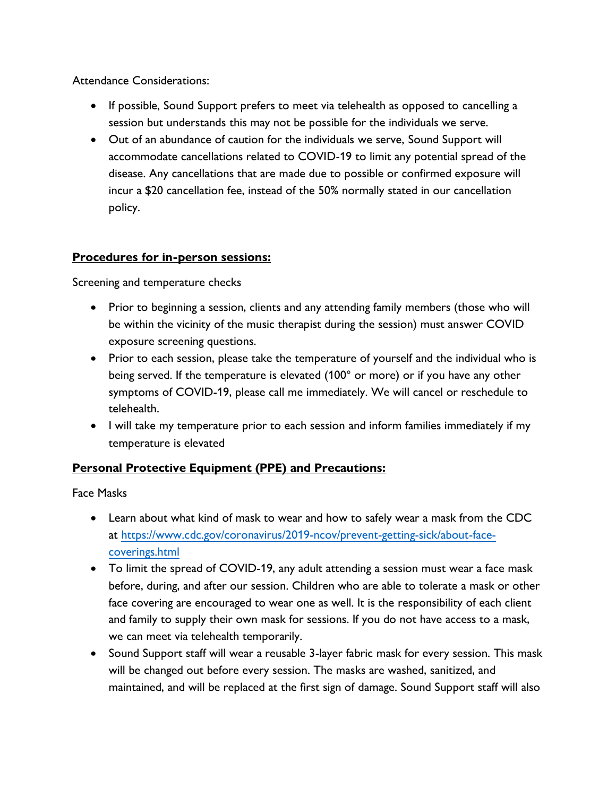Attendance Considerations:

- If possible, Sound Support prefers to meet via telehealth as opposed to cancelling a session but understands this may not be possible for the individuals we serve.
- Out of an abundance of caution for the individuals we serve, Sound Support will accommodate cancellations related to COVID-19 to limit any potential spread of the disease. Any cancellations that are made due to possible or confirmed exposure will incur a \$20 cancellation fee, instead of the 50% normally stated in our cancellation policy.

## **Procedures for in-person sessions:**

Screening and temperature checks

- Prior to beginning a session, clients and any attending family members (those who will be within the vicinity of the music therapist during the session) must answer COVID exposure screening questions.
- Prior to each session, please take the temperature of yourself and the individual who is being served. If the temperature is elevated (100° or more) or if you have any other symptoms of COVID-19, please call me immediately. We will cancel or reschedule to telehealth.
- I will take my temperature prior to each session and inform families immediately if my temperature is elevated

# **Personal Protective Equipment (PPE) and Precautions:**

Face Masks

- Learn about what kind of mask to wear and how to safely wear a mask from the CDC at [https://www.cdc.gov/coronavirus/2019-ncov/prevent-getting-sick/about-face](https://www.cdc.gov/coronavirus/2019-ncov/prevent-getting-sick/about-face-coverings.html)[coverings.html](https://www.cdc.gov/coronavirus/2019-ncov/prevent-getting-sick/about-face-coverings.html)
- To limit the spread of COVID-19, any adult attending a session must wear a face mask before, during, and after our session. Children who are able to tolerate a mask or other face covering are encouraged to wear one as well. It is the responsibility of each client and family to supply their own mask for sessions. If you do not have access to a mask, we can meet via telehealth temporarily.
- Sound Support staff will wear a reusable 3-layer fabric mask for every session. This mask will be changed out before every session. The masks are washed, sanitized, and maintained, and will be replaced at the first sign of damage. Sound Support staff will also